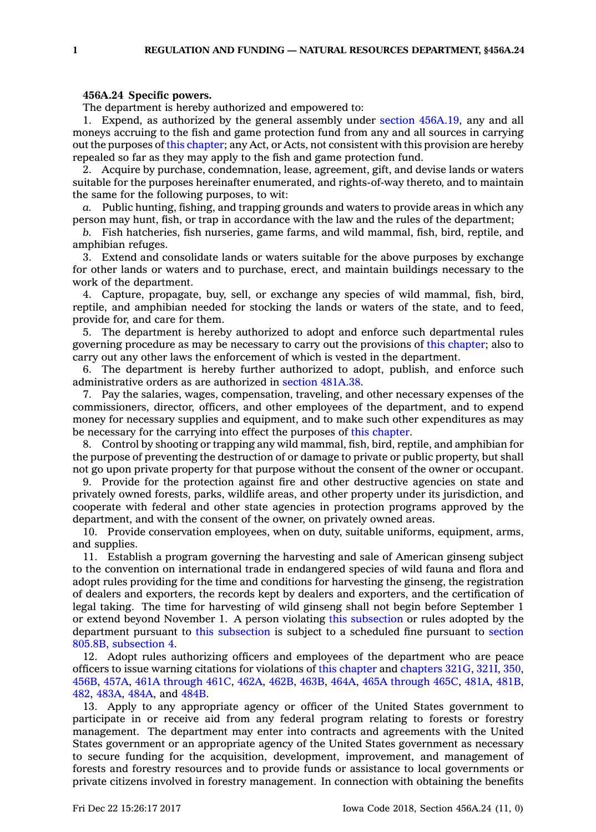## **456A.24 Specific powers.**

The department is hereby authorized and empowered to:

1. Expend, as authorized by the general assembly under section [456A.19](https://www.legis.iowa.gov/docs/code/456A.19.pdf), any and all moneys accruing to the fish and game protection fund from any and all sources in carrying out the purposes of this [chapter](https://www.legis.iowa.gov/docs/code//456A.pdf); any Act, or Acts, not consistent with this provision are hereby repealed so far as they may apply to the fish and game protection fund.

2. Acquire by purchase, condemnation, lease, agreement, gift, and devise lands or waters suitable for the purposes hereinafter enumerated, and rights-of-way thereto, and to maintain the same for the following purposes, to wit:

*a.* Public hunting, fishing, and trapping grounds and waters to provide areas in which any person may hunt, fish, or trap in accordance with the law and the rules of the department;

*b.* Fish hatcheries, fish nurseries, game farms, and wild mammal, fish, bird, reptile, and amphibian refuges.

3. Extend and consolidate lands or waters suitable for the above purposes by exchange for other lands or waters and to purchase, erect, and maintain buildings necessary to the work of the department.

4. Capture, propagate, buy, sell, or exchange any species of wild mammal, fish, bird, reptile, and amphibian needed for stocking the lands or waters of the state, and to feed, provide for, and care for them.

5. The department is hereby authorized to adopt and enforce such departmental rules governing procedure as may be necessary to carry out the provisions of this [chapter](https://www.legis.iowa.gov/docs/code//456A.pdf); also to carry out any other laws the enforcement of which is vested in the department.

6. The department is hereby further authorized to adopt, publish, and enforce such administrative orders as are authorized in section [481A.38](https://www.legis.iowa.gov/docs/code/481A.38.pdf).

7. Pay the salaries, wages, compensation, traveling, and other necessary expenses of the commissioners, director, officers, and other employees of the department, and to expend money for necessary supplies and equipment, and to make such other expenditures as may be necessary for the carrying into effect the purposes of this [chapter](https://www.legis.iowa.gov/docs/code//456A.pdf).

8. Control by shooting or trapping any wild mammal, fish, bird, reptile, and amphibian for the purpose of preventing the destruction of or damage to private or public property, but shall not go upon private property for that purpose without the consent of the owner or occupant.

9. Provide for the protection against fire and other destructive agencies on state and privately owned forests, parks, wildlife areas, and other property under its jurisdiction, and cooperate with federal and other state agencies in protection programs approved by the department, and with the consent of the owner, on privately owned areas.

10. Provide conservation employees, when on duty, suitable uniforms, equipment, arms, and supplies.

11. Establish <sup>a</sup> program governing the harvesting and sale of American ginseng subject to the convention on international trade in endangered species of wild fauna and flora and adopt rules providing for the time and conditions for harvesting the ginseng, the registration of dealers and exporters, the records kept by dealers and exporters, and the certification of legal taking. The time for harvesting of wild ginseng shall not begin before September 1 or extend beyond November 1. A person violating this [subsection](https://www.legis.iowa.gov/docs/code/456A.24.pdf) or rules adopted by the department pursuant to this [subsection](https://www.legis.iowa.gov/docs/code/456A.24.pdf) is subject to <sup>a</sup> scheduled fine pursuant to [section](https://www.legis.iowa.gov/docs/code/805.8B.pdf) 805.8B, [subsection](https://www.legis.iowa.gov/docs/code/805.8B.pdf) 4.

12. Adopt rules authorizing officers and employees of the department who are peace officers to issue warning citations for violations of this [chapter](https://www.legis.iowa.gov/docs/code//456A.pdf) and [chapters](https://www.legis.iowa.gov/docs/code//321G.pdf) 321G, [321I](https://www.legis.iowa.gov/docs/code//321I.pdf), [350](https://www.legis.iowa.gov/docs/code//350.pdf), [456B](https://www.legis.iowa.gov/docs/code//456B.pdf), [457A](https://www.legis.iowa.gov/docs/code//457A.pdf), 461A [through](https://www.legis.iowa.gov/docs/code/461A.pdf) 461C, [462A](https://www.legis.iowa.gov/docs/code//462A.pdf), [462B](https://www.legis.iowa.gov/docs/code//462B.pdf), [463B](https://www.legis.iowa.gov/docs/code//463B.pdf), [464A](https://www.legis.iowa.gov/docs/code//464A.pdf), 465A [through](https://www.legis.iowa.gov/docs/code/465A.pdf) 465C, [481A](https://www.legis.iowa.gov/docs/code//481A.pdf), [481B](https://www.legis.iowa.gov/docs/code//481B.pdf), [482](https://www.legis.iowa.gov/docs/code//482.pdf), [483A](https://www.legis.iowa.gov/docs/code//483A.pdf), [484A](https://www.legis.iowa.gov/docs/code//484A.pdf), and [484B](https://www.legis.iowa.gov/docs/code//484B.pdf).

13. Apply to any appropriate agency or officer of the United States government to participate in or receive aid from any federal program relating to forests or forestry management. The department may enter into contracts and agreements with the United States government or an appropriate agency of the United States government as necessary to secure funding for the acquisition, development, improvement, and management of forests and forestry resources and to provide funds or assistance to local governments or private citizens involved in forestry management. In connection with obtaining the benefits